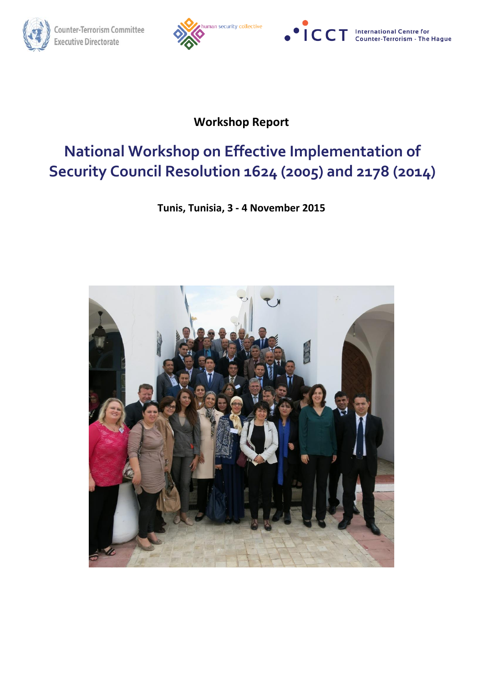





# **Workshop Report**

# **National Workshop on Effective Implementation of Security Council Resolution 1624 (2005) and 2178 (2014)**

# **Tunis, Tunisia, 3 - 4 November 2015**

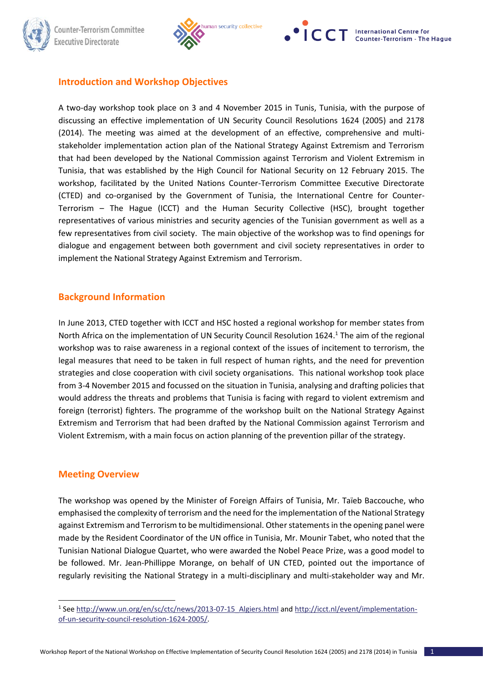



# **Introduction and Workshop Objectives**

A two-day workshop took place on 3 and 4 November 2015 in Tunis, Tunisia, with the purpose of discussing an effective implementation of UN Security Council Resolutions 1624 (2005) and 2178 (2014). The meeting was aimed at the development of an effective, comprehensive and multistakeholder implementation action plan of the National Strategy Against Extremism and Terrorism that had been developed by the National Commission against Terrorism and Violent Extremism in Tunisia, that was established by the High Council for National Security on 12 February 2015. The workshop, facilitated by the United Nations Counter-Terrorism Committee Executive Directorate (CTED) and co-organised by the Government of Tunisia, the International Centre for Counter-Terrorism – The Hague (ICCT) and the Human Security Collective (HSC), brought together representatives of various ministries and security agencies of the Tunisian government as well as a few representatives from civil society. The main objective of the workshop was to find openings for dialogue and engagement between both government and civil society representatives in order to implement the National Strategy Against Extremism and Terrorism.

# **Background Information**

In June 2013, CTED together with ICCT and HSC hosted a regional workshop for member states from North Africa on the implementation of UN Security Council Resolution 1624.<sup>1</sup> The aim of the regional workshop was to raise awareness in a regional context of the issues of incitement to terrorism, the legal measures that need to be taken in full respect of human rights, and the need for prevention strategies and close cooperation with civil society organisations. This national workshop took place from 3-4 November 2015 and focussed on the situation in Tunisia, analysing and drafting policies that would address the threats and problems that Tunisia is facing with regard to violent extremism and foreign (terrorist) fighters. The programme of the workshop built on the National Strategy Against Extremism and Terrorism that had been drafted by the National Commission against Terrorism and Violent Extremism, with a main focus on action planning of the prevention pillar of the strategy.

## **Meeting Overview**

1

The workshop was opened by the Minister of Foreign Affairs of Tunisia, Mr. Taïeb Baccouche, who emphasised the complexity of terrorism and the need for the implementation of the National Strategy against Extremism and Terrorism to be multidimensional. Other statements in the opening panel were made by the Resident Coordinator of the UN office in Tunisia, Mr. Mounir Tabet, who noted that the Tunisian National Dialogue Quartet, who were awarded the Nobel Peace Prize, was a good model to be followed. Mr. Jean-Phillippe Morange, on behalf of UN CTED, pointed out the importance of regularly revisiting the National Strategy in a multi-disciplinary and multi-stakeholder way and Mr.

<sup>&</sup>lt;sup>1</sup> See http://www.un.org/en/sc/ctc/news/2013-07-15 Algiers.html an[d http://icct.nl/event/implementation](http://icct.nl/event/implementation-of-un-security-council-resolution-1624-2005/)[of-un-security-council-resolution-1624-2005/.](http://icct.nl/event/implementation-of-un-security-council-resolution-1624-2005/)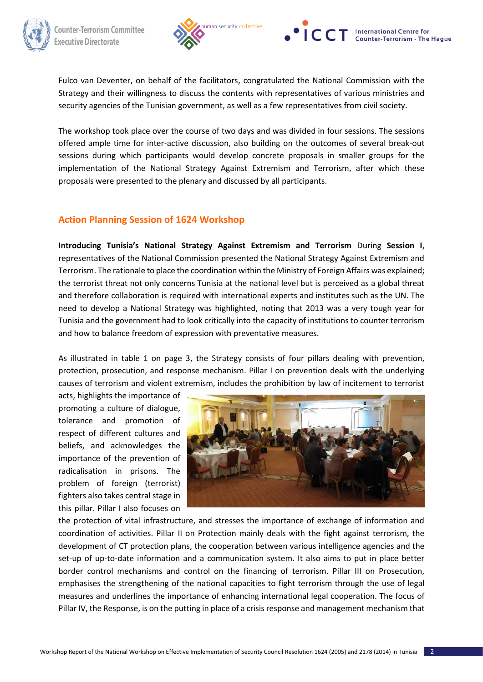





Fulco van Deventer, on behalf of the facilitators, congratulated the National Commission with the Strategy and their willingness to discuss the contents with representatives of various ministries and security agencies of the Tunisian government, as well as a few representatives from civil society.

The workshop took place over the course of two days and was divided in four sessions. The sessions offered ample time for inter-active discussion, also building on the outcomes of several break-out sessions during which participants would develop concrete proposals in smaller groups for the implementation of the National Strategy Against Extremism and Terrorism, after which these proposals were presented to the plenary and discussed by all participants.

# **Action Planning Session of 1624 Workshop**

**Introducing Tunisia's National Strategy Against Extremism and Terrorism** During **Session I**, representatives of the National Commission presented the National Strategy Against Extremism and Terrorism. The rationale to place the coordination within the Ministry of Foreign Affairs was explained; the terrorist threat not only concerns Tunisia at the national level but is perceived as a global threat and therefore collaboration is required with international experts and institutes such as the UN. The need to develop a National Strategy was highlighted, noting that 2013 was a very tough year for Tunisia and the government had to look critically into the capacity of institutions to counter terrorism and how to balance freedom of expression with preventative measures.

As illustrated in table 1 on page 3, the Strategy consists of four pillars dealing with prevention, protection, prosecution, and response mechanism. Pillar I on prevention deals with the underlying causes of terrorism and violent extremism, includes the prohibition by law of incitement to terrorist

acts, highlights the importance of promoting a culture of dialogue, tolerance and promotion of respect of different cultures and beliefs, and acknowledges the importance of the prevention of radicalisation in prisons. The problem of foreign (terrorist) fighters also takes central stage in this pillar. Pillar I also focuses on



the protection of vital infrastructure, and stresses the importance of exchange of information and coordination of activities. Pillar II on Protection mainly deals with the fight against terrorism, the development of CT protection plans, the cooperation between various intelligence agencies and the set-up of up-to-date information and a communication system. It also aims to put in place better border control mechanisms and control on the financing of terrorism. Pillar III on Prosecution, emphasises the strengthening of the national capacities to fight terrorism through the use of legal measures and underlines the importance of enhancing international legal cooperation. The focus of Pillar IV, the Response, is on the putting in place of a crisis response and management mechanism that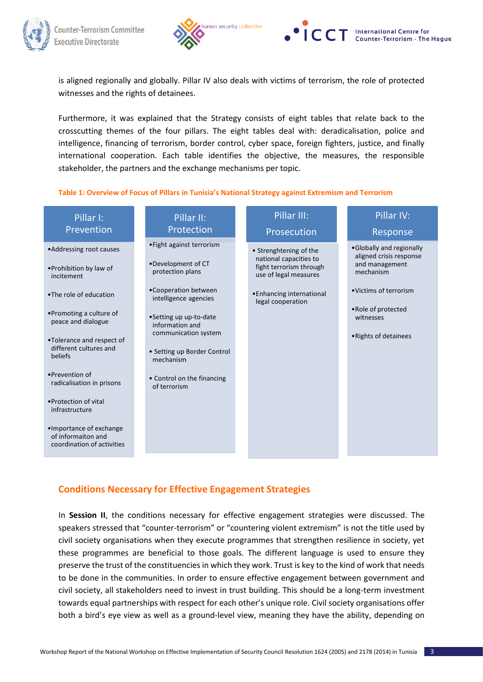





is aligned regionally and globally. Pillar IV also deals with victims of terrorism, the role of protected witnesses and the rights of detainees.

Furthermore, it was explained that the Strategy consists of eight tables that relate back to the crosscutting themes of the four pillars. The eight tables deal with: deradicalisation, police and intelligence, financing of terrorism, border control, cyber space, foreign fighters, justice, and finally international cooperation. Each table identifies the objective, the measures, the responsible stakeholder, the partners and the exchange mechanisms per topic.

## **Table 1: Overview of Focus of Pillars in Tunisia's National Strategy against Extremism and Terrorism**

| Pillar I:<br>Prevention                                                                                                                                                                                                                                                                                                                                                                | Pillar II:<br>Protection                                                                                                                                                                                                                                                            | Pillar III:<br>Prosecution                                                                                                                             | Pillar IV:<br>Response                                                                                                                                                    |
|----------------------------------------------------------------------------------------------------------------------------------------------------------------------------------------------------------------------------------------------------------------------------------------------------------------------------------------------------------------------------------------|-------------------------------------------------------------------------------------------------------------------------------------------------------------------------------------------------------------------------------------------------------------------------------------|--------------------------------------------------------------------------------------------------------------------------------------------------------|---------------------------------------------------------------------------------------------------------------------------------------------------------------------------|
| • Addressing root causes<br>•Prohibition by law of<br>incitement<br>.The role of education<br>•Promoting a culture of<br>peace and dialogue<br>•Tolerance and respect of<br>different cultures and<br>beliefs<br>•Prevention of<br>radicalisation in prisons<br>• Protection of vital<br>infrastructure<br>•Importance of exchange<br>of informaiton and<br>coordination of activities | • Fight against terrorism<br>•Development of CT<br>protection plans<br>•Cooperation between<br>intelligence agencies<br>•Setting up up-to-date<br>information and<br>communication system<br>• Setting up Border Control<br>mechanism<br>• Control on the financing<br>of terrorism | • Strenghtening of the<br>national capacities to<br>fight terrorism through<br>use of legal measures<br>• Enhancing international<br>legal cooperation | •Globally and regionally<br>aligned crisis response<br>and management<br>mechanism<br>• Victims of terrorism<br>• Role of protected<br>witnesses<br>• Rights of detainees |
|                                                                                                                                                                                                                                                                                                                                                                                        |                                                                                                                                                                                                                                                                                     |                                                                                                                                                        |                                                                                                                                                                           |

# **Conditions Necessary for Effective Engagement Strategies**

In Session II, the conditions necessary for effective engagement strategies were discussed. The speakers stressed that "counter-terrorism" or "countering violent extremism" is not the title used by civil society organisations when they execute programmes that strengthen resilience in society, yet these programmes are beneficial to those goals. The different language is used to ensure they preserve the trust of the constituencies in which they work. Trust is key to the kind of work that needs to be done in the communities. In order to ensure effective engagement between government and civil society, all stakeholders need to invest in trust building. This should be a long-term investment towards equal partnerships with respect for each other's unique role. Civil society organisations offer both a bird's eye view as well as a ground-level view, meaning they have the ability, depending on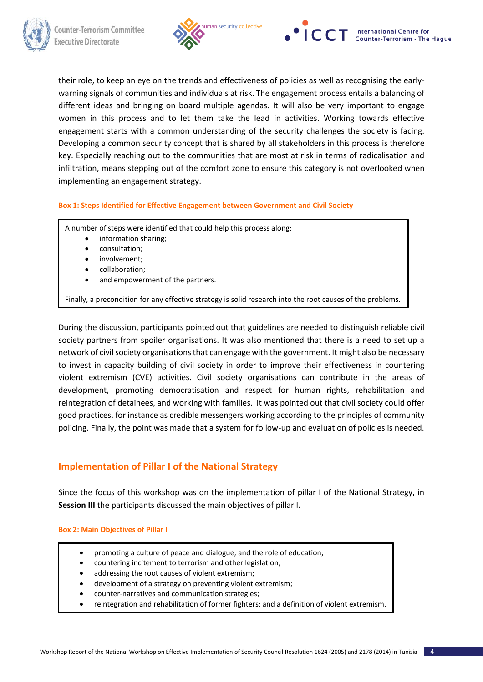



their role, to keep an eye on the trends and effectiveness of policies as well as recognising the earlywarning signals of communities and individuals at risk. The engagement process entails a balancing of different ideas and bringing on board multiple agendas. It will also be very important to engage women in this process and to let them take the lead in activities. Working towards effective engagement starts with a common understanding of the security challenges the society is facing. Developing a common security concept that is shared by all stakeholders in this process is therefore key. Especially reaching out to the communities that are most at risk in terms of radicalisation and infiltration, means stepping out of the comfort zone to ensure this category is not overlooked when implementing an engagement strategy.

## **Box 1: Steps Identified for Effective Engagement between Government and Civil Society**

A number of steps were identified that could help this process along:

- information sharing;
- consultation;
- involvement;
- collaboration;
- and empowerment of the partners.

Finally, a precondition for any effective strategy is solid research into the root causes of the problems.

During the discussion, participants pointed out that guidelines are needed to distinguish reliable civil society partners from spoiler organisations. It was also mentioned that there is a need to set up a network of civil society organisations that can engage with the government. It might also be necessary to invest in capacity building of civil society in order to improve their effectiveness in countering violent extremism (CVE) activities. Civil society organisations can contribute in the areas of development, promoting democratisation and respect for human rights, rehabilitation and reintegration of detainees, and working with families. It was pointed out that civil society could offer good practices, for instance as credible messengers working according to the principles of community policing. Finally, the point was made that a system for follow-up and evaluation of policies is needed.

# **Implementation of Pillar I of the National Strategy**

Since the focus of this workshop was on the implementation of pillar I of the National Strategy, in **Session III** the participants discussed the main objectives of pillar I.

## **Box 2: Main Objectives of Pillar I**

- promoting a culture of peace and dialogue, and the role of education;
- countering incitement to terrorism and other legislation;
- addressing the root causes of violent extremism;
- development of a strategy on preventing violent extremism;
- counter-narratives and communication strategies;
- reintegration and rehabilitation of former fighters; and a definition of violent extremism.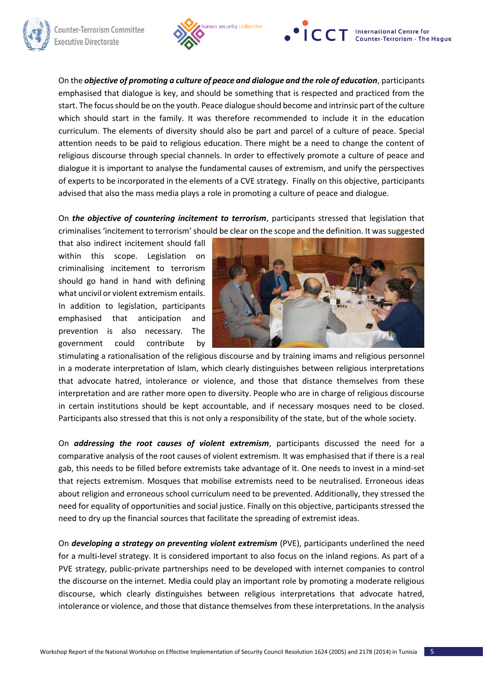





On the *objective of promoting a culture of peace and dialogue and the role of education*, participants emphasised that dialogue is key, and should be something that is respected and practiced from the start. The focus should be on the youth. Peace dialogue should become and intrinsic part of the culture which should start in the family. It was therefore recommended to include it in the education curriculum. The elements of diversity should also be part and parcel of a culture of peace. Special attention needs to be paid to religious education. There might be a need to change the content of religious discourse through special channels. In order to effectively promote a culture of peace and dialogue it is important to analyse the fundamental causes of extremism, and unify the perspectives of experts to be incorporated in the elements of a CVE strategy. Finally on this objective, participants advised that also the mass media plays a role in promoting a culture of peace and dialogue.

On *the objective of countering incitement to terrorism*, participants stressed that legislation that criminalises 'incitement to terrorism' should be clear on the scope and the definition. It was suggested

that also indirect incitement should fall within this scope. Legislation on criminalising incitement to terrorism should go hand in hand with defining what uncivil or violent extremism entails. In addition to legislation, participants emphasised that anticipation and prevention is also necessary. The government could contribute by



stimulating a rationalisation of the religious discourse and by training imams and religious personnel in a moderate interpretation of Islam, which clearly distinguishes between religious interpretations that advocate hatred, intolerance or violence, and those that distance themselves from these interpretation and are rather more open to diversity. People who are in charge of religious discourse in certain institutions should be kept accountable, and if necessary mosques need to be closed. Participants also stressed that this is not only a responsibility of the state, but of the whole society.

On *addressing the root causes of violent extremism*, participants discussed the need for a comparative analysis of the root causes of violent extremism. It was emphasised that if there is a real gab, this needs to be filled before extremists take advantage of it. One needs to invest in a mind-set that rejects extremism. Mosques that mobilise extremists need to be neutralised. Erroneous ideas about religion and erroneous school curriculum need to be prevented. Additionally, they stressed the need for equality of opportunities and social justice. Finally on this objective, participants stressed the need to dry up the financial sources that facilitate the spreading of extremist ideas.

On *developing a strategy on preventing violent extremism* (PVE), participants underlined the need for a multi-level strategy. It is considered important to also focus on the inland regions. As part of a PVE strategy, public-private partnerships need to be developed with internet companies to control the discourse on the internet. Media could play an important role by promoting a moderate religious discourse, which clearly distinguishes between religious interpretations that advocate hatred, intolerance or violence, and those that distance themselves from these interpretations. In the analysis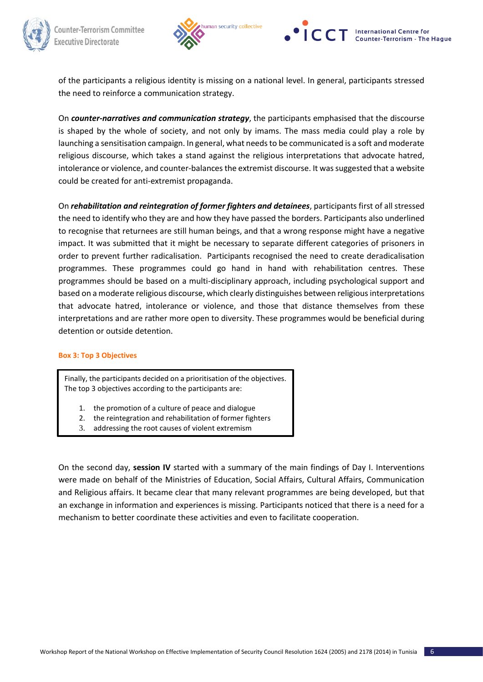



of the participants a religious identity is missing on a national level. In general, participants stressed the need to reinforce a communication strategy.

On *counter-narratives and communication strategy*, the participants emphasised that the discourse is shaped by the whole of society, and not only by imams. The mass media could play a role by launching a sensitisation campaign. In general, what needs to be communicated is a soft and moderate religious discourse, which takes a stand against the religious interpretations that advocate hatred, intolerance or violence, and counter-balances the extremist discourse. It was suggested that a website could be created for anti-extremist propaganda.

On *rehabilitation and reintegration of former fighters and detainees*, participants first of all stressed the need to identify who they are and how they have passed the borders. Participants also underlined to recognise that returnees are still human beings, and that a wrong response might have a negative impact. It was submitted that it might be necessary to separate different categories of prisoners in order to prevent further radicalisation. Participants recognised the need to create deradicalisation programmes. These programmes could go hand in hand with rehabilitation centres. These programmes should be based on a multi-disciplinary approach, including psychological support and based on a moderate religious discourse, which clearly distinguishes between religious interpretations that advocate hatred, intolerance or violence, and those that distance themselves from these interpretations and are rather more open to diversity. These programmes would be beneficial during detention or outside detention.

## **Box 3: Top 3 Objectives**

Finally, the participants decided on a prioritisation of the objectives. The top 3 objectives according to the participants are:

- 1. the promotion of a culture of peace and dialogue
- 2. the reintegration and rehabilitation of former fighters
- 3. addressing the root causes of violent extremism

On the second day, **session IV** started with a summary of the main findings of Day I. Interventions were made on behalf of the Ministries of Education, Social Affairs, Cultural Affairs, Communication and Religious affairs. It became clear that many relevant programmes are being developed, but that an exchange in information and experiences is missing. Participants noticed that there is a need for a mechanism to better coordinate these activities and even to facilitate cooperation.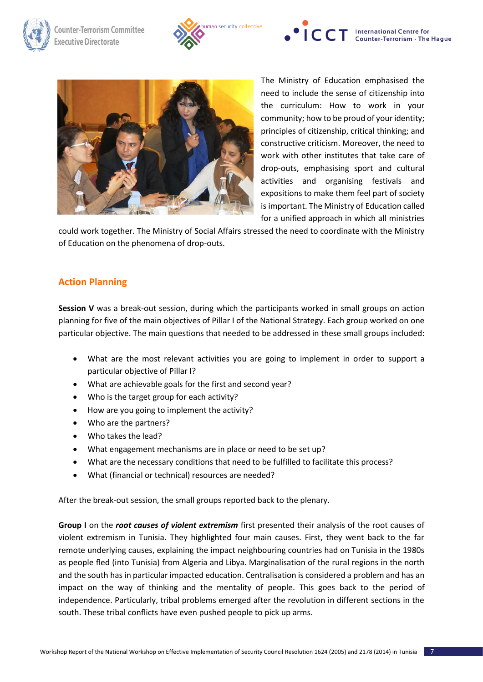







The Ministry of Education emphasised the need to include the sense of citizenship into the curriculum: How to work in your community; how to be proud of your identity; principles of citizenship, critical thinking; and constructive criticism. Moreover, the need to work with other institutes that take care of drop-outs, emphasising sport and cultural activities and organising festivals and expositions to make them feel part of society is important. The Ministry of Education called for a unified approach in which all ministries

could work together. The Ministry of Social Affairs stressed the need to coordinate with the Ministry of Education on the phenomena of drop-outs.

# **Action Planning**

**Session V** was a break-out session, during which the participants worked in small groups on action planning for five of the main objectives of Pillar I of the National Strategy. Each group worked on one particular objective. The main questions that needed to be addressed in these small groups included:

- What are the most relevant activities you are going to implement in order to support a particular objective of Pillar I?
- What are achievable goals for the first and second year?
- Who is the target group for each activity?
- How are you going to implement the activity?
- Who are the partners?
- Who takes the lead?
- What engagement mechanisms are in place or need to be set up?
- What are the necessary conditions that need to be fulfilled to facilitate this process?
- What (financial or technical) resources are needed?

After the break-out session, the small groups reported back to the plenary.

**Group I** on the *root causes of violent extremism* first presented their analysis of the root causes of violent extremism in Tunisia. They highlighted four main causes. First, they went back to the far remote underlying causes, explaining the impact neighbouring countries had on Tunisia in the 1980s as people fled (into Tunisia) from Algeria and Libya. Marginalisation of the rural regions in the north and the south has in particular impacted education. Centralisation is considered a problem and has an impact on the way of thinking and the mentality of people. This goes back to the period of independence. Particularly, tribal problems emerged after the revolution in different sections in the south. These tribal conflicts have even pushed people to pick up arms.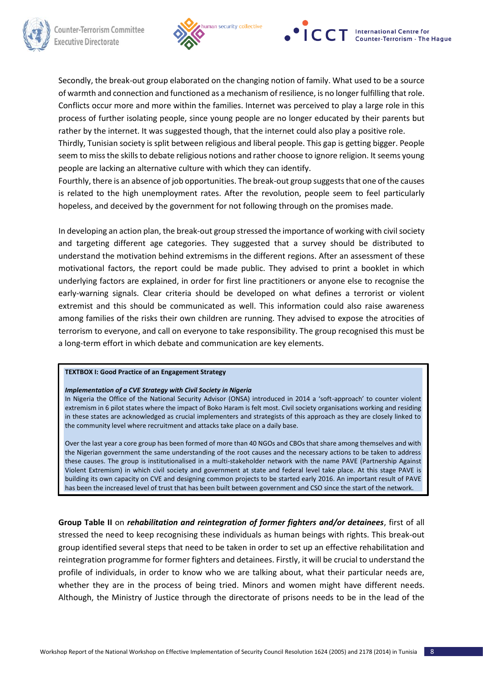



Secondly, the break-out group elaborated on the changing notion of family. What used to be a source of warmth and connection and functioned as a mechanism of resilience, is no longer fulfilling that role. Conflicts occur more and more within the families. Internet was perceived to play a large role in this process of further isolating people, since young people are no longer educated by their parents but rather by the internet. It was suggested though, that the internet could also play a positive role.

Thirdly, Tunisian society is split between religious and liberal people. This gap is getting bigger. People seem to miss the skills to debate religious notions and rather choose to ignore religion. It seems young people are lacking an alternative culture with which they can identify.

Fourthly, there is an absence of job opportunities. The break-out group suggests that one of the causes is related to the high unemployment rates. After the revolution, people seem to feel particularly hopeless, and deceived by the government for not following through on the promises made.

In developing an action plan, the break-out group stressed the importance of working with civil society and targeting different age categories. They suggested that a survey should be distributed to understand the motivation behind extremisms in the different regions. After an assessment of these motivational factors, the report could be made public. They advised to print a booklet in which underlying factors are explained, in order for first line practitioners or anyone else to recognise the early-warning signals. Clear criteria should be developed on what defines a terrorist or violent extremist and this should be communicated as well. This information could also raise awareness among families of the risks their own children are running. They advised to expose the atrocities of terrorism to everyone, and call on everyone to take responsibility. The group recognised this must be a long-term effort in which debate and communication are key elements.

## **TEXTBOX I: Good Practice of an Engagement Strategy**

## *Implementation of a CVE Strategy with Civil Society in Nigeria*

In Nigeria the Office of the National Security Advisor (ONSA) introduced in 2014 a 'soft-approach' to counter violent extremism in 6 pilot states where the impact of Boko Haram is felt most. Civil society organisations working and residing in these states are acknowledged as crucial implementers and strategists of this approach as they are closely linked to the community level where recruitment and attacks take place on a daily base.

Over the last year a core group has been formed of more than 40 NGOs and CBOs that share among themselves and with the Nigerian government the same understanding of the root causes and the necessary actions to be taken to address these causes. The group is institutionalised in a multi-stakeholder network with the name PAVE (Partnership Against Violent Extremism) in which civil society and government at state and federal level take place. At this stage PAVE is building its own capacity on CVE and designing common projects to be started early 2016. An important result of PAVE has been the increased level of trust that has been built between government and CSO since the start of the network.

**Group Table II** on *rehabilitation and reintegration of former fighters and/or detainees*, first of all stressed the need to keep recognising these individuals as human beings with rights. This break-out group identified several steps that need to be taken in order to set up an effective rehabilitation and reintegration programme for former fighters and detainees. Firstly, it will be crucial to understand the profile of individuals, in order to know who we are talking about, what their particular needs are, whether they are in the process of being tried. Minors and women might have different needs. Although, the Ministry of Justice through the directorate of prisons needs to be in the lead of the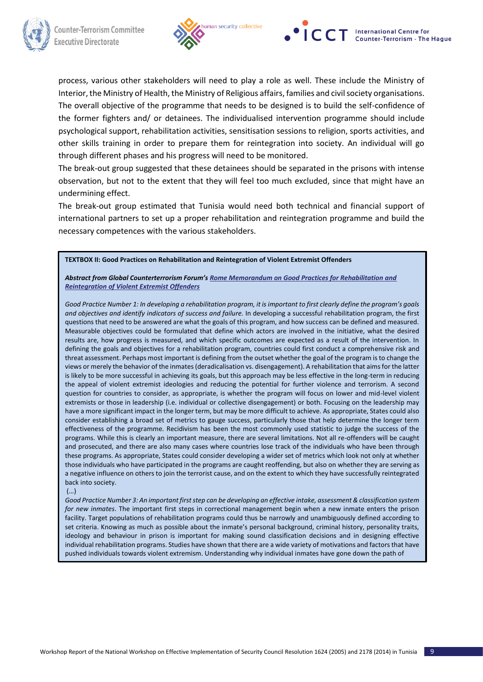



process, various other stakeholders will need to play a role as well. These include the Ministry of Interior, the Ministry of Health, the Ministry of Religious affairs, families and civil society organisations. The overall objective of the programme that needs to be designed is to build the self-confidence of the former fighters and/ or detainees. The individualised intervention programme should include psychological support, rehabilitation activities, sensitisation sessions to religion, sports activities, and other skills training in order to prepare them for reintegration into society. An individual will go through different phases and his progress will need to be monitored.

The break-out group suggested that these detainees should be separated in the prisons with intense observation, but not to the extent that they will feel too much excluded, since that might have an undermining effect.

The break-out group estimated that Tunisia would need both technical and financial support of international partners to set up a proper rehabilitation and reintegration programme and build the necessary competences with the various stakeholders.

**TEXTBOX II: Good Practices on Rehabilitation and Reintegration of Violent Extremist Offenders**

*Abstract from Global Counterterrorism Forum's [Rome Memorandum on Good Practices for Rehabilitation and](https://www.thegctf.org/documents/10162/159878/Rome+Memorandum-English.pdf)  [Reintegration of Violent Extremist Offenders](https://www.thegctf.org/documents/10162/159878/Rome+Memorandum-English.pdf)* 

*Good Practice Number 1: In developing a rehabilitation program, it is important to first clearly define the program's goals and objectives and identify indicators of success and failure.* In developing a successful rehabilitation program, the first questions that need to be answered are what the goals of this program, and how success can be defined and measured. Measurable objectives could be formulated that define which actors are involved in the initiative, what the desired results are, how progress is measured, and which specific outcomes are expected as a result of the intervention. In defining the goals and objectives for a rehabilitation program, countries could first conduct a comprehensive risk and threat assessment. Perhaps most important is defining from the outset whether the goal of the program is to change the views or merely the behavior of the inmates (deradicalisation vs. disengagement). A rehabilitation that aims for the latter is likely to be more successful in achieving its goals, but this approach may be less effective in the long-term in reducing the appeal of violent extremist ideologies and reducing the potential for further violence and terrorism. A second question for countries to consider, as appropriate, is whether the program will focus on lower and mid-level violent extremists or those in leadership (i.e. individual or collective disengagement) or both. Focusing on the leadership may have a more significant impact in the longer term, but may be more difficult to achieve. As appropriate, States could also consider establishing a broad set of metrics to gauge success, particularly those that help determine the longer term effectiveness of the programme. Recidivism has been the most commonly used statistic to judge the success of the programs. While this is clearly an important measure, there are several limitations. Not all re-offenders will be caught and prosecuted, and there are also many cases where countries lose track of the individuals who have been through these programs. As appropriate, States could consider developing a wider set of metrics which look not only at whether those individuals who have participated in the programs are caught reoffending, but also on whether they are serving as a negative influence on others to join the terrorist cause, and on the extent to which they have successfully reintegrated back into society.

(…)

*Good Practice Number 3: An important first step can be developing an effective intake, assessment & classification system for new inmates*. The important first steps in correctional management begin when a new inmate enters the prison facility. Target populations of rehabilitation programs could thus be narrowly and unambiguously defined according to set criteria. Knowing as much as possible about the inmate's personal background, criminal history, personality traits, ideology and behaviour in prison is important for making sound classification decisions and in designing effective individual rehabilitation programs. Studies have shown that there are a wide variety of motivations and factors that have pushed individuals towards violent extremism. Understanding why individual inmates have gone down the path of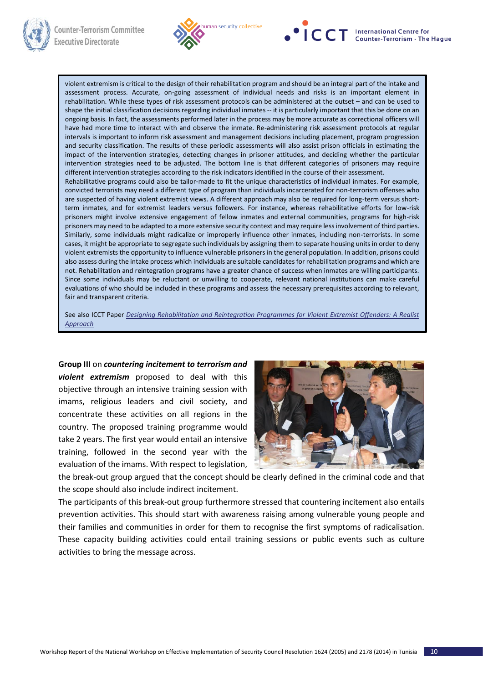





violent extremism is critical to the design of their rehabilitation program and should be an integral part of the intake and assessment process. Accurate, on-going assessment of individual needs and risks is an important element in rehabilitation. While these types of risk assessment protocols can be administered at the outset – and can be used to shape the initial classification decisions regarding individual inmates -- it is particularly important that this be done on an ongoing basis. In fact, the assessments performed later in the process may be more accurate as correctional officers will have had more time to interact with and observe the inmate. Re-administering risk assessment protocols at regular intervals is important to inform risk assessment and management decisions including placement, program progression and security classification. The results of these periodic assessments will also assist prison officials in estimating the impact of the intervention strategies, detecting changes in prisoner attitudes, and deciding whether the particular intervention strategies need to be adjusted. The bottom line is that different categories of prisoners may require different intervention strategies according to the risk indicators identified in the course of their assessment. Rehabilitative programs could also be tailor-made to fit the unique characteristics of individual inmates. For example, convicted terrorists may need a different type of program than individuals incarcerated for non-terrorism offenses who are suspected of having violent extremist views. A different approach may also be required for long-term versus shortterm inmates, and for extremist leaders versus followers. For instance, whereas rehabilitative efforts for low-risk prisoners might involve extensive engagement of fellow inmates and external communities, programs for high-risk prisoners may need to be adapted to a more extensive security context and may require less involvement of third parties. Similarly, some individuals might radicalize or improperly influence other inmates, including non-terrorists. In some cases, it might be appropriate to segregate such individuals by assigning them to separate housing units in order to deny violent extremists the opportunity to influence vulnerable prisoners in the general population. In addition, prisons could also assess during the intake process which individuals are suitable candidates for rehabilitation programs and which are not. Rehabilitation and reintegration programs have a greater chance of success when inmates are willing participants. Since some individuals may be reluctant or unwilling to cooperate, relevant national institutions can make careful evaluations of who should be included in these programs and assess the necessary prerequisites according to relevant, fair and transparent criteria.

See also ICCT Paper *[Designing Rehabilitation and Reintegration Programmes for Violent Extremist Offenders: A Realist](http://www.icct.nl/publications/icct-papers/designing-rehabilitation-and-reintegration-programmes-for-violent-extremist-offenders-a-realist-approach)  [Approach](http://www.icct.nl/publications/icct-papers/designing-rehabilitation-and-reintegration-programmes-for-violent-extremist-offenders-a-realist-approach)*

**Group III** on *countering incitement to terrorism and violent extremism* proposed to deal with this objective through an intensive training session with imams, religious leaders and civil society, and concentrate these activities on all regions in the country. The proposed training programme would take 2 years. The first year would entail an intensive training, followed in the second year with the evaluation of the imams. With respect to legislation,



the break-out group argued that the concept should be clearly defined in the criminal code and that the scope should also include indirect incitement.

The participants of this break-out group furthermore stressed that countering incitement also entails prevention activities. This should start with awareness raising among vulnerable young people and their families and communities in order for them to recognise the first symptoms of radicalisation. These capacity building activities could entail training sessions or public events such as culture activities to bring the message across.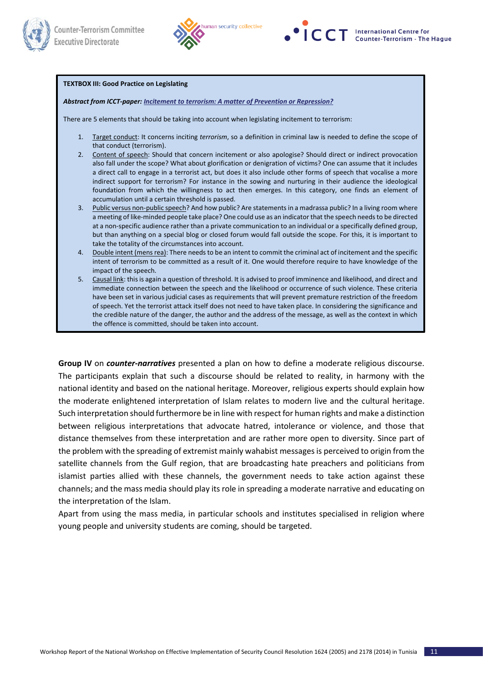



## **TEXTBOX III: Good Practice on Legislating**

### *Abstract from ICCT-paper[: Incitement to terrorism: A matter of Prevention or Repression?](http://icct.nl/publication/incitement-to-terrorism-a-matter-of-prevention-or-repression)*

There are 5 elements that should be taking into account when legislating incitement to terrorism:

- 1. Target conduct: It concerns inciting *terrorism*, so a definition in criminal law is needed to define the scope of that conduct (terrorism).
- 2. Content of speech: Should that concern incitement or also apologise? Should direct or indirect provocation also fall under the scope? What about glorification or denigration of victims? One can assume that it includes a direct call to engage in a terrorist act, but does it also include other forms of speech that vocalise a more indirect support for terrorism? For instance in the sowing and nurturing in their audience the ideological foundation from which the willingness to act then emerges. In this category, one finds an element of accumulation until a certain threshold is passed.
- 3. Public versus non-public speech? And how public? Are statements in a madrassa public? In a living room where a meeting of like-minded people take place? One could use as an indicator that the speech needs to be directed at a non-specific audience rather than a private communication to an individual or a specifically defined group, but than anything on a special blog or closed forum would fall outside the scope. For this, it is important to take the totality of the circumstances into account.
- Double intent (mens rea): There needs to be an intent to commit the criminal act of incitement and the specific intent of terrorism to be committed as a result of it. One would therefore require to have knowledge of the impact of the speech.
- 5. Causal link: this is again a question of threshold. It is advised to proof imminence and likelihood, and direct and immediate connection between the speech and the likelihood or occurrence of such violence. These criteria have been set in various judicial cases as requirements that will prevent premature restriction of the freedom of speech. Yet the terrorist attack itself does not need to have taken place. In considering the significance and the credible nature of the danger, the author and the address of the message, as well as the context in which the offence is committed, should be taken into account.

**Group IV** on *counter-narratives* presented a plan on how to define a moderate religious discourse. The participants explain that such a discourse should be related to reality, in harmony with the national identity and based on the national heritage. Moreover, religious experts should explain how the moderate enlightened interpretation of Islam relates to modern live and the cultural heritage. Such interpretation should furthermore be in line with respect for human rights and make a distinction between religious interpretations that advocate hatred, intolerance or violence, and those that distance themselves from these interpretation and are rather more open to diversity. Since part of the problem with the spreading of extremist mainly wahabist messages is perceived to origin from the satellite channels from the Gulf region, that are broadcasting hate preachers and politicians from islamist parties allied with these channels, the government needs to take action against these channels; and the mass media should play its role in spreading a moderate narrative and educating on the interpretation of the Islam.

Apart from using the mass media, in particular schools and institutes specialised in religion where young people and university students are coming, should be targeted.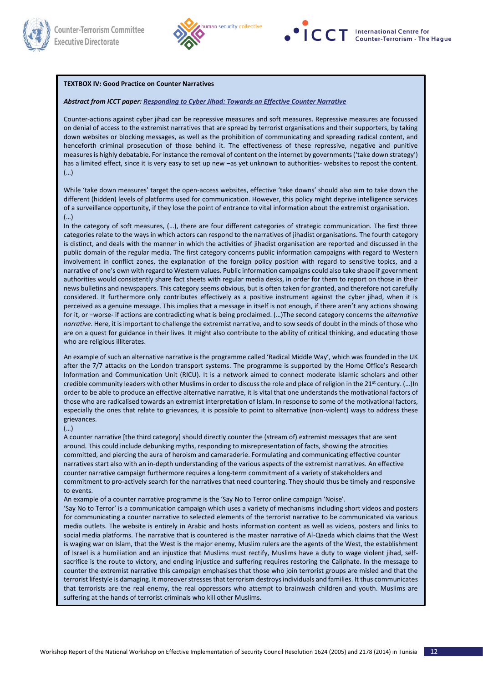



#### **TEXTBOX IV: Good Practice on Counter Narratives**

#### *Abstract from ICCT paper[: Responding to Cyber Jihad: Towards an Effective Counter Narrative](http://icct.nl/publication/responding-to-cyber-jihad-towards-an-effective-counter-narrative/))*

Counter-actions against cyber jihad can be repressive measures and soft measures. Repressive measures are focussed on denial of access to the extremist narratives that are spread by terrorist organisations and their supporters, by taking down websites or blocking messages, as well as the prohibition of communicating and spreading radical content, and henceforth criminal prosecution of those behind it. The effectiveness of these repressive, negative and punitive measures is highly debatable. For instance the removal of content on the internet by governments ('take down strategy') has a limited effect, since it is very easy to set up new –as yet unknown to authorities- websites to repost the content. (…)

While 'take down measures' target the open-access websites, effective 'take downs' should also aim to take down the different (hidden) levels of platforms used for communication. However, this policy might deprive intelligence services of a surveillance opportunity, if they lose the point of entrance to vital information about the extremist organisation. (…)

In the category of soft measures, (...), there are four different categories of strategic communication. The first three categories relate to the ways in which actors can respond to the narratives of jihadist organisations. The fourth category is distinct, and deals with the manner in which the activities of jihadist organisation are reported and discussed in the public domain of the regular media. The first category concerns public information campaigns with regard to Western involvement in conflict zones, the explanation of the foreign policy position with regard to sensitive topics, and a narrative of one's own with regard to Western values. Public information campaigns could also take shape if government authorities would consistently share fact sheets with regular media desks, in order for them to report on those in their news bulletins and newspapers. This category seems obvious, but is often taken for granted, and therefore not carefully considered. It furthermore only contributes effectively as a positive instrument against the cyber jihad, when it is perceived as a genuine message. This implies that a message in itself is not enough, if there aren't any actions showing for it, or –worse- if actions are contradicting what is being proclaimed. (…)The second category concerns the *alternative narrative*. Here, it is important to challenge the extremist narrative, and to sow seeds of doubt in the minds of those who are on a quest for guidance in their lives. It might also contribute to the ability of critical thinking, and educating those who are religious illiterates.

An example of such an alternative narrative is the programme called 'Radical Middle Way', which was founded in the UK after the 7/7 attacks on the London transport systems. The programme is supported by the Home Office's Research Information and Communication Unit (RICU). It is a network aimed to connect moderate Islamic scholars and other credible community leaders with other Muslims in order to discuss the role and place of religion in the 21st century. (…)In order to be able to produce an effective alternative narrative, it is vital that one understands the motivational factors of those who are radicalised towards an extremist interpretation of Islam. In response to some of the motivational factors, especially the ones that relate to grievances, it is possible to point to alternative (non-violent) ways to address these grievances.

#### (…)

A counter narrative [the third category] should directly counter the (stream of) extremist messages that are sent around. This could include debunking myths, responding to misrepresentation of facts, showing the atrocities committed, and piercing the aura of heroism and camaraderie. Formulating and communicating effective counter narratives start also with an in-depth understanding of the various aspects of the extremist narratives. An effective counter narrative campaign furthermore requires a long-term commitment of a variety of stakeholders and commitment to pro-actively search for the narratives that need countering. They should thus be timely and responsive to events.

An example of a counter narrative programme is the 'Say No to Terror online campaign 'Noise'.

'Say No to Terror' is a communication campaign which uses a variety of mechanisms including short videos and posters for communicating a counter narrative to selected elements of the terrorist narrative to be communicated via various media outlets. The website is entirely in Arabic and hosts information content as well as videos, posters and links to social media platforms. The narrative that is countered is the master narrative of Al-Qaeda which claims that the West is waging war on Islam, that the West is the major enemy, Muslim rulers are the agents of the West, the establishment of Israel is a humiliation and an injustice that Muslims must rectify, Muslims have a duty to wage violent jihad, selfsacrifice is the route to victory, and ending injustice and suffering requires restoring the Caliphate. In the message to counter the extremist narrative this campaign emphasises that those who join terrorist groups are misled and that the terrorist lifestyle is damaging. It moreover stresses that terrorism destroys individuals and families. It thus communicates that terrorists are the real enemy, the real oppressors who attempt to brainwash children and youth. Muslims are suffering at the hands of terrorist criminals who kill other Muslims.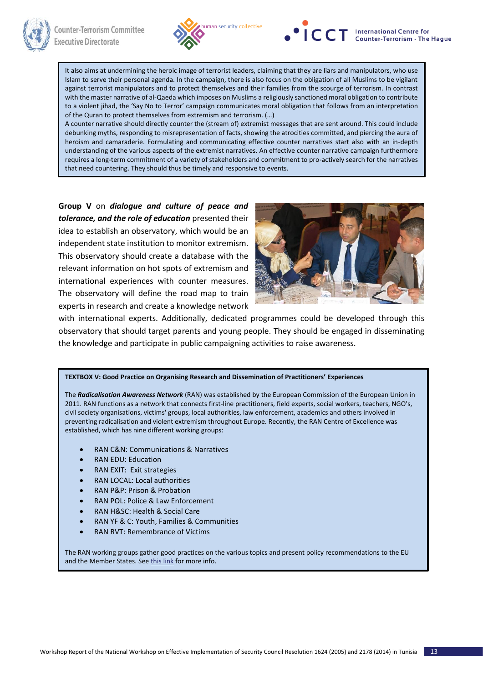



It also aims at undermining the heroic image of terrorist leaders, claiming that they are liars and manipulators, who use Islam to serve their personal agenda. In the campaign, there is also focus on the obligation of all Muslims to be vigilant against terrorist manipulators and to protect themselves and their families from the scourge of terrorism. In contrast with the master narrative of al-Qaeda which imposes on Muslims a religiously sanctioned moral obligation to contribute to a violent jihad, the 'Say No to Terror' campaign communicates moral obligation that follows from an interpretation of the Quran to protect themselves from extremism and terrorism. (…)

A counter narrative should directly counter the (stream of) extremist messages that are sent around. This could include debunking myths, responding to misrepresentation of facts, showing the atrocities committed, and piercing the aura of heroism and camaraderie. Formulating and communicating effective counter narratives start also with an in-depth understanding of the various aspects of the extremist narratives. An effective counter narrative campaign furthermore requires a long-term commitment of a variety of stakeholders and commitment to pro-actively search for the narratives that need countering. They should thus be timely and responsive to events.

**Group V** on *dialogue and culture of peace and tolerance, and the role of education* presented their idea to establish an observatory, which would be an independent state institution to monitor extremism. This observatory should create a database with the relevant information on hot spots of extremism and international experiences with counter measures. The observatory will define the road map to train experts in research and create a knowledge network



with international experts. Additionally, dedicated programmes could be developed through this observatory that should target parents and young people. They should be engaged in disseminating the knowledge and participate in public campaigning activities to raise awareness.

## **TEXTBOX V: Good Practice on Organising Research and Dissemination of Practitioners' Experiences**

The *Radicalisation Awareness Network* (RAN) was established by the European Commission of the European Union in 2011. RAN functions as a network that connects first-line practitioners, field experts, social workers, teachers, NGO's, civil society organisations, victims' groups, local authorities, law enforcement, academics and others involved in preventing radicalisation and violent extremism throughout Europe. Recently, the RAN Centre of Excellence was established, which has nine different working groups:

- RAN C&N: Communications & Narratives
- RAN EDU: Education
- RAN EXIT: Exit strategies
- RAN LOCAL: Local authorities
- RAN P&P: Prison & Probation
- RAN POL: Police & Law Enforcement
- RAN H&SC: Health & Social Care
- RAN YF & C: Youth, Families & Communities
- RAN RVT: Remembrance of Victims

The RAN working groups gather good practices on the various topics and present policy recommendations to the EU and the Member States. See [this link](https://gallery.mailchimp.com/c3beef00c1800c927c40284a8/files/Mission_Statements_RAN_Working_Groups.pdf) for more info.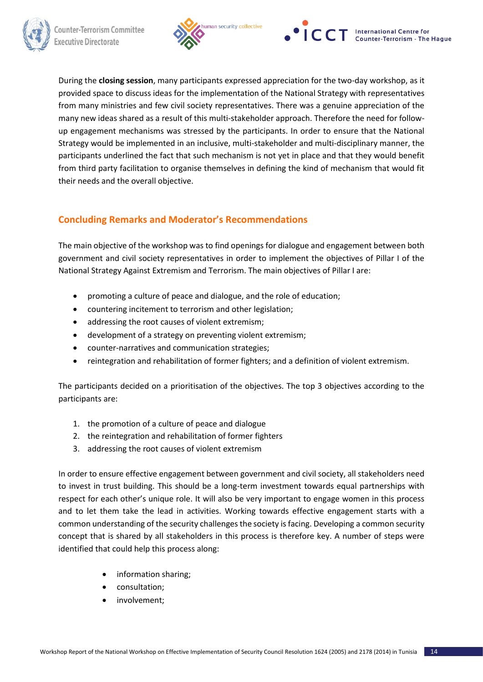





During the **closing session**, many participants expressed appreciation for the two-day workshop, as it provided space to discuss ideas for the implementation of the National Strategy with representatives from many ministries and few civil society representatives. There was a genuine appreciation of the many new ideas shared as a result of this multi-stakeholder approach. Therefore the need for followup engagement mechanisms was stressed by the participants. In order to ensure that the National Strategy would be implemented in an inclusive, multi-stakeholder and multi-disciplinary manner, the participants underlined the fact that such mechanism is not yet in place and that they would benefit from third party facilitation to organise themselves in defining the kind of mechanism that would fit their needs and the overall objective.

# **Concluding Remarks and Moderator's Recommendations**

The main objective of the workshop was to find openings for dialogue and engagement between both government and civil society representatives in order to implement the objectives of Pillar I of the National Strategy Against Extremism and Terrorism. The main objectives of Pillar I are:

- promoting a culture of peace and dialogue, and the role of education;
- countering incitement to terrorism and other legislation;
- addressing the root causes of violent extremism;
- development of a strategy on preventing violent extremism;
- counter-narratives and communication strategies;
- reintegration and rehabilitation of former fighters; and a definition of violent extremism.

The participants decided on a prioritisation of the objectives. The top 3 objectives according to the participants are:

- 1. the promotion of a culture of peace and dialogue
- 2. the reintegration and rehabilitation of former fighters
- 3. addressing the root causes of violent extremism

In order to ensure effective engagement between government and civil society, all stakeholders need to invest in trust building. This should be a long-term investment towards equal partnerships with respect for each other's unique role. It will also be very important to engage women in this process and to let them take the lead in activities. Working towards effective engagement starts with a common understanding of the security challenges the society is facing. Developing a common security concept that is shared by all stakeholders in this process is therefore key. A number of steps were identified that could help this process along:

- information sharing;
- consultation;
- involvement;